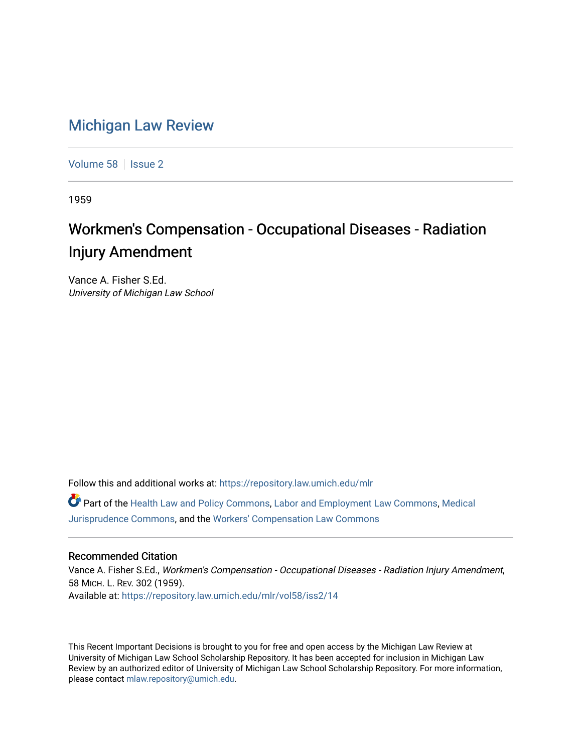## [Michigan Law Review](https://repository.law.umich.edu/mlr)

[Volume 58](https://repository.law.umich.edu/mlr/vol58) | [Issue 2](https://repository.law.umich.edu/mlr/vol58/iss2)

1959

# Workmen's Compensation - Occupational Diseases - Radiation Injury Amendment

Vance A. Fisher S.Ed. University of Michigan Law School

Follow this and additional works at: [https://repository.law.umich.edu/mlr](https://repository.law.umich.edu/mlr?utm_source=repository.law.umich.edu%2Fmlr%2Fvol58%2Fiss2%2F14&utm_medium=PDF&utm_campaign=PDFCoverPages) 

Part of the [Health Law and Policy Commons](http://network.bepress.com/hgg/discipline/901?utm_source=repository.law.umich.edu%2Fmlr%2Fvol58%2Fiss2%2F14&utm_medium=PDF&utm_campaign=PDFCoverPages), [Labor and Employment Law Commons,](http://network.bepress.com/hgg/discipline/909?utm_source=repository.law.umich.edu%2Fmlr%2Fvol58%2Fiss2%2F14&utm_medium=PDF&utm_campaign=PDFCoverPages) [Medical](http://network.bepress.com/hgg/discipline/860?utm_source=repository.law.umich.edu%2Fmlr%2Fvol58%2Fiss2%2F14&utm_medium=PDF&utm_campaign=PDFCoverPages) [Jurisprudence Commons](http://network.bepress.com/hgg/discipline/860?utm_source=repository.law.umich.edu%2Fmlr%2Fvol58%2Fiss2%2F14&utm_medium=PDF&utm_campaign=PDFCoverPages), and the [Workers' Compensation Law Commons](http://network.bepress.com/hgg/discipline/889?utm_source=repository.law.umich.edu%2Fmlr%2Fvol58%2Fiss2%2F14&utm_medium=PDF&utm_campaign=PDFCoverPages)

### Recommended Citation

Vance A. Fisher S.Ed., Workmen's Compensation - Occupational Diseases - Radiation Injury Amendment, 58 MICH. L. REV. 302 (1959). Available at: [https://repository.law.umich.edu/mlr/vol58/iss2/14](https://repository.law.umich.edu/mlr/vol58/iss2/14?utm_source=repository.law.umich.edu%2Fmlr%2Fvol58%2Fiss2%2F14&utm_medium=PDF&utm_campaign=PDFCoverPages) 

This Recent Important Decisions is brought to you for free and open access by the Michigan Law Review at University of Michigan Law School Scholarship Repository. It has been accepted for inclusion in Michigan Law Review by an authorized editor of University of Michigan Law School Scholarship Repository. For more information, please contact [mlaw.repository@umich.edu.](mailto:mlaw.repository@umich.edu)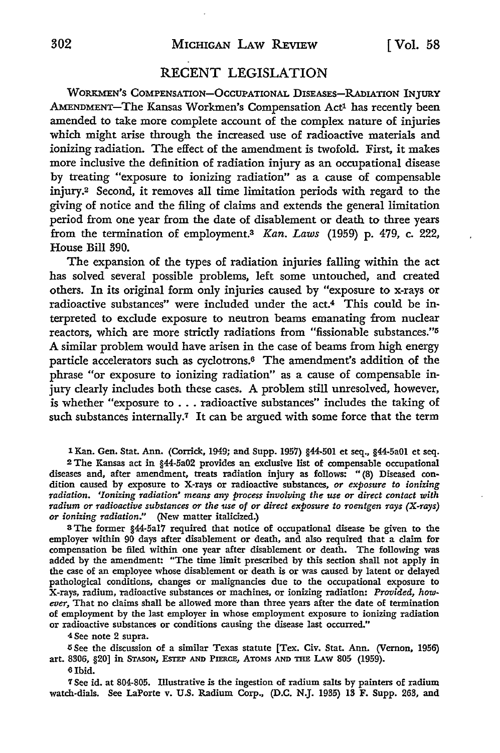#### RECENT LEGISLATION

WORKMEN'S COMPENSATION-OCCUPATIONAL DISEASES-RADIATION INJURY AMENDMENT-The Kansas Workmen's Compensation Act<sup>1</sup> has recently been amended to take more complete account of the complex nature of injuries which might arise through the increased use of radioactive materials and ionizing radiation. The effect of the amendment is twofold. First, it makes more inclusive the definition of radiation injury as an occupational disease by treating "exposure *to* ionizing radiation" as a cause of compensable injury.2 Second, it removes all time limitation periods with regard to the giving of notice and the filing of claims and extends the general limitation period from one year from the date of disablement or death to three years from the termination of employment.3 *Kan. Laws* (1959) p. 479, c. 222, House Bill 390.

The expansion of the types of radiation injuries falling within the act has solved several possible problems, left some untouched, and created others. In its original form only injuries caused by "exposure to x-rays or radioactive substances" were included under the act.4 This could be interpreted to exclude exposure to neutron beams emanating from nuclear reactors, which are more strictly radiations from "fissionable substances."<sup>5</sup> A similar problem would have arisen in the case of beams from high energy particle accelerators such as cyclotrons.6 The amendment's addition of the phrase "or exposure to ionizing radiation" as a cause of compensable injury clearly includes both these cases. A problem still unresolved, however, is whether "exposure *to* ... radioactive substances" includes the taking of such substances internally.<sup>7</sup> It can be argued with some force that the term

1 Kan. Gen. Stat. Ann. (Corrick, 1949; and Supp. 1957) §44-501 et seq., §44-5a01 et seq.

<sup>2</sup>The Kansas act in §44-5a02 provides an exclusive list of compensable occupational diseases and, after amendment, treats radiation injury as follows: "(8) Diseased con• dition caused by exposure to X-rays or radioactive substances, *or exposure to ionizing Tadiation. 'Ionizing Tadiation' means any process involving the use or direct contact with*  radium or radioactive substances or the use of or direct exposure to roentgen rays (X-rays) *or ionizing radiation."* (New matter italicized.)

<sup>3</sup> The former §44-5a17 required that notice of occupational disease be given to the employer within 90 days after disablement or death, and also required that a claim for compensation be filed within one year after disablement or death. The following was added by the amendment: "The time limit prescribed by this section shall not apply in the case of an employee whose disablement or death is or was caused by latent or delayed pathological conditions, changes or malignancies due to the occupational exposure to X-rays, radium, radioactive substances or machines, or ionizing radiation: *Provided, however,* That no claims shall be allowed more than three years after the date of termination of employment by the last employer in whose employment exposure to ionizing radiation or radioactive substances or conditions causing the disease last occurred."

4 See note 2 supra.

5 See the discussion of a similar Texas statute [Tex. Civ. Stat. Ann. (Vernon, 1956) art. 8306, §20] in STASON, ESTEP AND PIERCE, ATOMS AND THE LAW 805 (1959).

6 Ibid.

7 See id. at 804-805. Illustrative is the ingestion of radium salts by painters of radium watch-dials. See LaPorte v. U.S. Radium Corp., (D.C. N.J. 1935) 13 F. Supp. 263, and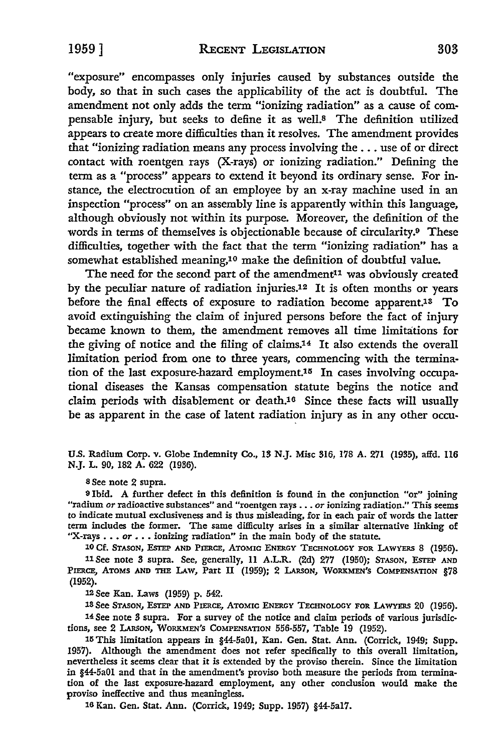"exposure" encompasses only injuries caused by substances outside the body, so that in such cases the applicability of the act is doubtful. The amendment not only adds the term "ionizing radiation" as a cause of compensable injury, but seeks to define it as well.<sup>8</sup> The definition utilized appears to create more difficulties than it resolves. The amendment provides that "ionizing radiation means any process involving the ... use of or direct contact with roentgen rays (X-rays) or ionizing radiation." Defining the term as a "process" appears to extend it beyond its ordinary sense. For instance, the electrocution of an employee by an x-ray machine used in an inspection "process" on an assembly line is apparently within this language, although obviously not within its purpose. Moreover, the definition of the words in terms of themselves is objectionable because of circularity.9 These difficulties, together with the fact that the term "ionizing radiation" has a somewhat established meaning,10 make the definition of doubtful value.

The need for the second part of the amendment<sup>11</sup> was obviously created by the peculiar nature of radiation injuries.12 It is often months or years before the final effects of exposure to radiation become apparent.1s To avoid extinguishing the claim of injured persons before the fact of injury became known to them, the amendment removes all time limitations for the giving of notice and the filing of claims.14 It also extends the overall limitation period from one to three years, commencing with the termination of the last exposure-hazard employment.15 In cases involving occupational diseases the Kansas compensation statute begins the notice and claim periods with disablement or death.16 Since these facts will usually be as apparent in the case of latent radiation injury as in any other occu-

U.S. Radium Corp. v. Globe Indemnity Co., 18 N.J. Misc 316, 178 A. 271 (1985), affd. 116 N.J. L. 90, 182 A. 622 (1936).

8 See note 2 supra.

<sup>9</sup>Ibid. A further defect in this definition is found in the conjunction "or" joining "radium *or* radioactive substances" and "roentgen rays ••• *or* ionizing radiation." This seems to indicate mutual exclusiveness and is thus misleading, for in each pair of words the latter term includes the former. The same difficulty arises in a similar alternative linking of "X-rays . . . or . . . ionizing radiation" in the main body of the statute.

10 Cf. STASON, ESTEP AND PIERCE, ATOMIC ENERGY TECHNOLOGY FOR LAWYERS 8 (1956). 11 See note 3 supra. See, generally, 11 A.L.R. (2d) 277 (1950); STASON, ESTEP AND PIERCE, ATOMS AND THE LAW, Part II (1959); 2 LARSON, WORKMEN'S COMPENSATION §78 (1952).

12 See Kan. Laws (1959) p. 542.

13See STASON, ESTEP AND PIERCE, ATOMIC ENERGY TECHNOLOGY FOR LAWYERS 20 (1956).

14 See note 3 supra. For a survey of the notice and claim periods of various jurisdictions, see 2 LARsoN, WORKMEN'S COMPENSATION 556-557, Table 19 (1952).

15 This limitation appears in §44-5a01, Kan. Gen. Stat. Ann. (Corrick, 1949; Supp. 1957). Although the amendment does not refer specifically to this overall limitation, nevertheless it seems clear that it is extended by the proviso therein. Since the limitation in §44-5a01 and that in the amendment's proviso both measure the periods from termination of the last exposure-hazard employment, any other conclusion would make the proviso ineffective and thus meaningless.

16 Kan. Gen. Stat. Ann. (Corrick, 1949; Supp. 1957) §44-5al7.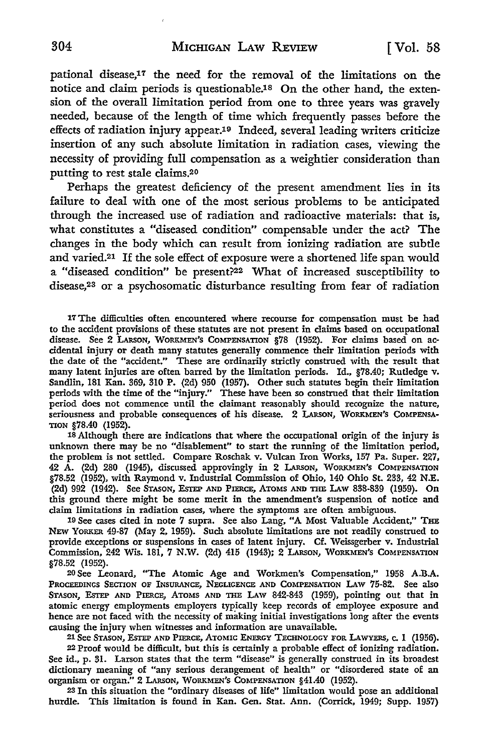pational disease,17 the need for the removal of the limitations on the notice and claim periods is questionable.<sup>18</sup> On the other hand, the extension of the overall limitation period from one to three years was gravely needed, because of the length of time which frequently passes before the effects of radiation injury appear.19 Indeed, several leading writers criticize insertion of any such absolute limitation in radiation cases, viewing the necessity of providing full compensation as a weightier consideration than putting to rest stale claims.20

Perhaps the greatest deficiency of the present amendment lies in its failure to deal with one of the most serious problems to be anticipated through the increased use of radiation and radioactive materials: that is, what constitutes a "diseased condition" compensable under the act? The changes in the body which can result from ionizing radiation are subtle and varied.21 If the sole effect of exposure were a shortened life span would a "diseased condition" be present?22 What of increased susceptibility to disease,23 or a psychosomatic disturbance resulting from fear of radiation

17 The difficulties often encountered where recourse for compensation must be had to the accident provisions of these statutes are not present in claims based on occupational disease. See 2 LARsoN, WORKMEN'S COMPENSATION §78 (1952). For claims based on accidental injury or death many statutes generally commence their limitation periods with the date of the "accident." These are ordinarily strictly construed with the result that many latent injuries are often barred by the limitation periods. Id., §78.40; Rutledge v. Sandlin, 181 Kan. 369, 310 P. (2d) 950 (1957). Other such statutes begin their limitation periods with the time of the "injury." These have been so construed that their limitation period does not commence until the claimant reasonably should recognize the nature, seriousness and probable consequences of his disease. 2 LARsoN, WORKMEN'S COMPENSA-TION §78.40 (1952).

18 Although there are indications that where the occupational origin of the injury is unknown there may be no "disablement" to start the running of the limitation period, the problem is not settled. Compare Roschak v. Vulcan Iron Works, 157 Pa. Super. 227, 42 A. (2d) 280 (1945), discussed approvingly in 2 LARsoN, WORKMEN'S COMPENSATION §78.52 (1952), with Raymond v. Industrial Commission of Ohio, 140 Ohio St. 233, 42 N.E. (2d) 992 (1942). See STASON, ESTEP AND PIERCE, ATOMS AND THE I.Aw 838-839 (1959). On this ground there might be some merit in the amendment's suspension of notice and claim limitations in radiation cases, where the symptoms are often ambiguous.

19 See cases cited in note 7 supra. See also Lang, "A Most Valuable Accident," THE NEW YORKER 49-87 (May 2, 1959). Such absolute limitations are not readily construed to provide exceptions or suspensions in cases of latent injury. Cf. Weissgerber v. Industrial Commission, 242 Wis. 181, 7 N.W. (2d) 415 (1943); 2 LARsoN, WORKMEN'S COMPENSATION §78.52 (1952).

20 See Leonard, "The Atomic Age and Workmen's Compensation," 1958 A.B.A. PROCEEDINGS SECTION OF INSURANCE, NEGLIGENCE AND COMPENSATION LAW 75-82. See also STASON, ESTEP AND PIERCE, ATOMS AND THE LAW 842-843 (1959), pointing out that in atomic energy employments employers typically keep records of employee exposure and hence are not faced with the necessity of making initial investigations long after the events causing the injury when witnesses and information are unavailable.

21 See STASON, ESTEP AND PIERCE, ATOMIC ENERGY TECHNOLOGY FOR LAWYERS, c. 1 (1956). 22 Proof would be difficult, but this is certainly a probable effect of ionizing radiation. See id., p. 31. Larson states that the term "disease" is generally construed in its broadest dictionary meaning of "any serious derangement of health" or "disordered state of an organism or organ." 2 LARsoN, WORKMEN'S COMPENSATION §41.40 (1952).

23 In this situation the "ordinary diseases of life" limitation would pose an additional hurdle. This limitation is found in Kan. Gen. Stat. Ann. (Corrick, 1949; Supp. 1957)